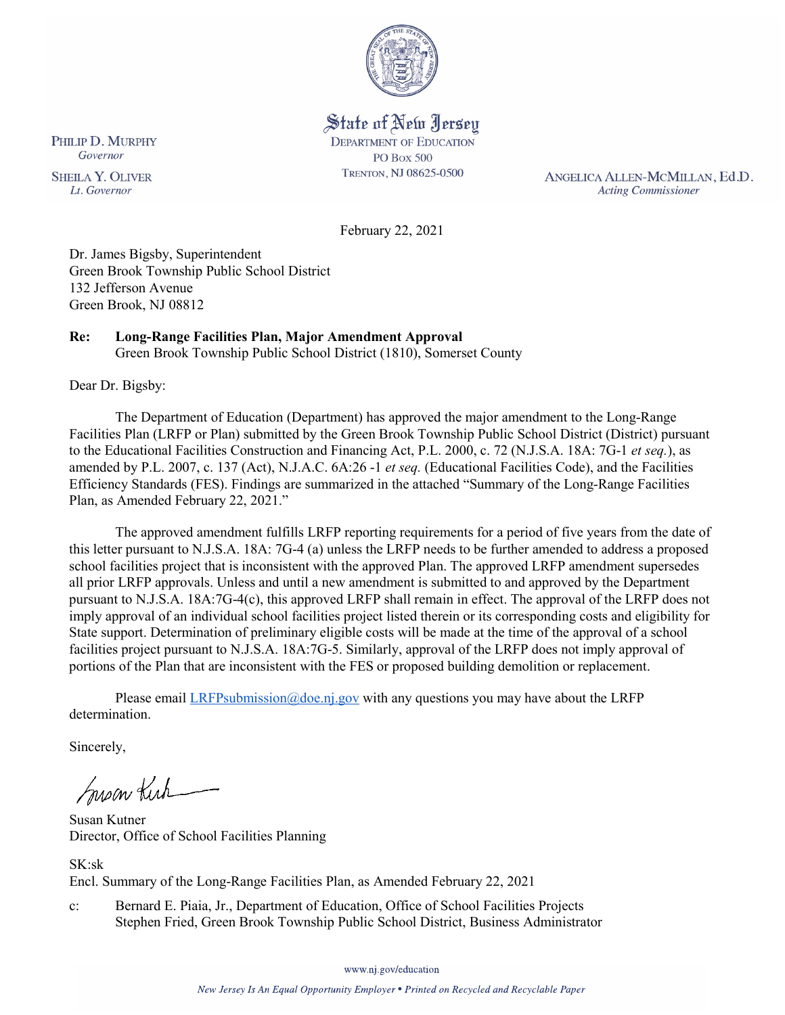

State of New Jersey **DEPARTMENT OF EDUCATION PO Box 500** TRENTON, NJ 08625-0500

ANGELICA ALLEN-MCMILLAN, Ed.D. **Acting Commissioner** 

February 22, 2021

Dr. James Bigsby, Superintendent Green Brook Township Public School District 132 Jefferson Avenue Green Brook, NJ 08812

## **Re: Long-Range Facilities Plan, Major Amendment Approval**

Green Brook Township Public School District (1810), Somerset County

Dear Dr. Bigsby:

The Department of Education (Department) has approved the major amendment to the Long-Range Facilities Plan (LRFP or Plan) submitted by the Green Brook Township Public School District (District) pursuant to the Educational Facilities Construction and Financing Act, P.L. 2000, c. 72 (N.J.S.A. 18A: 7G-1 *et seq.*), as amended by P.L. 2007, c. 137 (Act), N.J.A.C. 6A:26 -1 *et seq.* (Educational Facilities Code), and the Facilities Efficiency Standards (FES). Findings are summarized in the attached "Summary of the Long-Range Facilities Plan, as Amended February 22, 2021."

The approved amendment fulfills LRFP reporting requirements for a period of five years from the date of this letter pursuant to N.J.S.A. 18A: 7G-4 (a) unless the LRFP needs to be further amended to address a proposed school facilities project that is inconsistent with the approved Plan. The approved LRFP amendment supersedes all prior LRFP approvals. Unless and until a new amendment is submitted to and approved by the Department pursuant to N.J.S.A. 18A:7G-4(c), this approved LRFP shall remain in effect. The approval of the LRFP does not imply approval of an individual school facilities project listed therein or its corresponding costs and eligibility for State support. Determination of preliminary eligible costs will be made at the time of the approval of a school facilities project pursuant to N.J.S.A. 18A:7G-5. Similarly, approval of the LRFP does not imply approval of portions of the Plan that are inconsistent with the FES or proposed building demolition or replacement.

Please email *LRFPsubmission@doe.nj.gov* with any questions you may have about the LRFP determination.

Sincerely,

Susan Kich

Susan Kutner Director, Office of School Facilities Planning

SK:sk Encl. Summary of the Long-Range Facilities Plan, as Amended February 22, 2021

c: Bernard E. Piaia, Jr., Department of Education, Office of School Facilities Projects Stephen Fried, Green Brook Township Public School District, Business Administrator

www.nj.gov/education

New Jersey Is An Equal Opportunity Employer . Printed on Recycled and Recyclable Paper

PHILIP D. MURPHY Governor

**SHEILA Y. OLIVER** Lt. Governor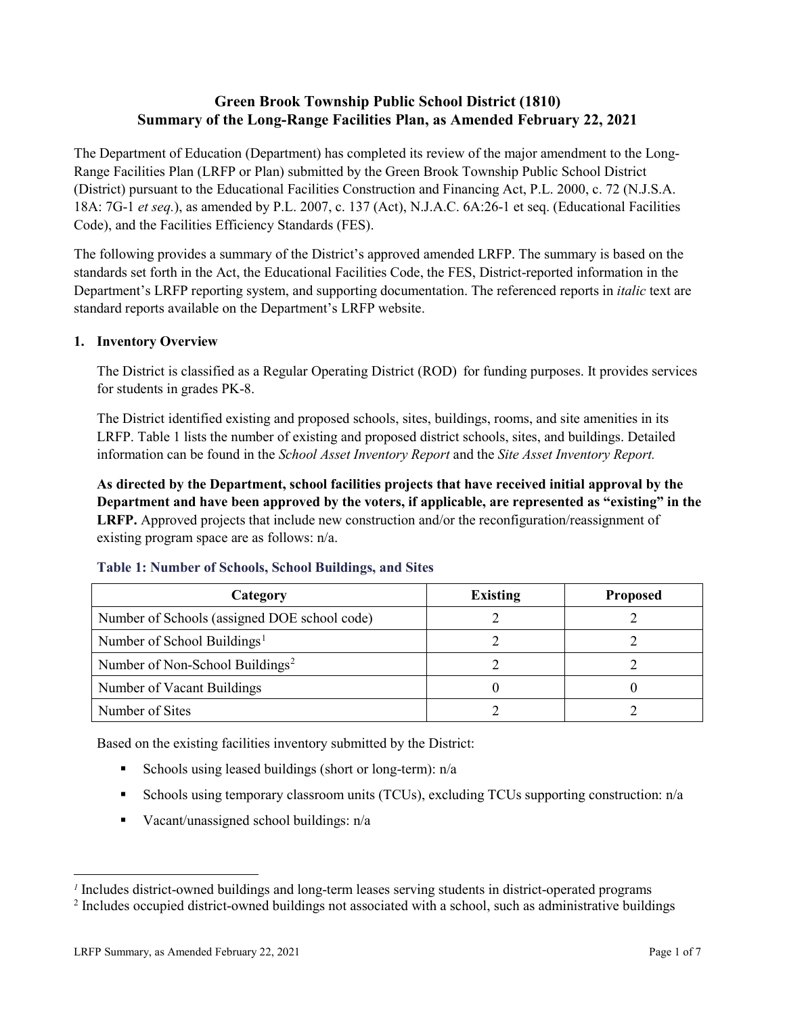# **Green Brook Township Public School District (1810) Summary of the Long-Range Facilities Plan, as Amended February 22, 2021**

The Department of Education (Department) has completed its review of the major amendment to the Long-Range Facilities Plan (LRFP or Plan) submitted by the Green Brook Township Public School District (District) pursuant to the Educational Facilities Construction and Financing Act, P.L. 2000, c. 72 (N.J.S.A. 18A: 7G-1 *et seq.*), as amended by P.L. 2007, c. 137 (Act), N.J.A.C. 6A:26-1 et seq. (Educational Facilities Code), and the Facilities Efficiency Standards (FES).

The following provides a summary of the District's approved amended LRFP. The summary is based on the standards set forth in the Act, the Educational Facilities Code, the FES, District-reported information in the Department's LRFP reporting system, and supporting documentation. The referenced reports in *italic* text are standard reports available on the Department's LRFP website.

### **1. Inventory Overview**

The District is classified as a Regular Operating District (ROD) for funding purposes. It provides services for students in grades PK-8.

The District identified existing and proposed schools, sites, buildings, rooms, and site amenities in its LRFP. Table 1 lists the number of existing and proposed district schools, sites, and buildings. Detailed information can be found in the *School Asset Inventory Report* and the *Site Asset Inventory Report.* 

**As directed by the Department, school facilities projects that have received initial approval by the Department and have been approved by the voters, if applicable, are represented as "existing" in the LRFP.** Approved projects that include new construction and/or the reconfiguration/reassignment of existing program space are as follows: n/a.

| Category                                     | <b>Existing</b> | <b>Proposed</b> |
|----------------------------------------------|-----------------|-----------------|
| Number of Schools (assigned DOE school code) |                 |                 |
| Number of School Buildings <sup>1</sup>      |                 |                 |
| Number of Non-School Buildings <sup>2</sup>  |                 |                 |
| Number of Vacant Buildings                   |                 |                 |
| Number of Sites                              |                 |                 |

#### **Table 1: Number of Schools, School Buildings, and Sites**

Based on the existing facilities inventory submitted by the District:

- Schools using leased buildings (short or long-term):  $n/a$
- Schools using temporary classroom units (TCUs), excluding TCUs supporting construction: n/a
- Vacant/unassigned school buildings:  $n/a$

 $\overline{a}$ 

<span id="page-1-1"></span><span id="page-1-0"></span>*<sup>1</sup>* Includes district-owned buildings and long-term leases serving students in district-operated programs

<sup>&</sup>lt;sup>2</sup> Includes occupied district-owned buildings not associated with a school, such as administrative buildings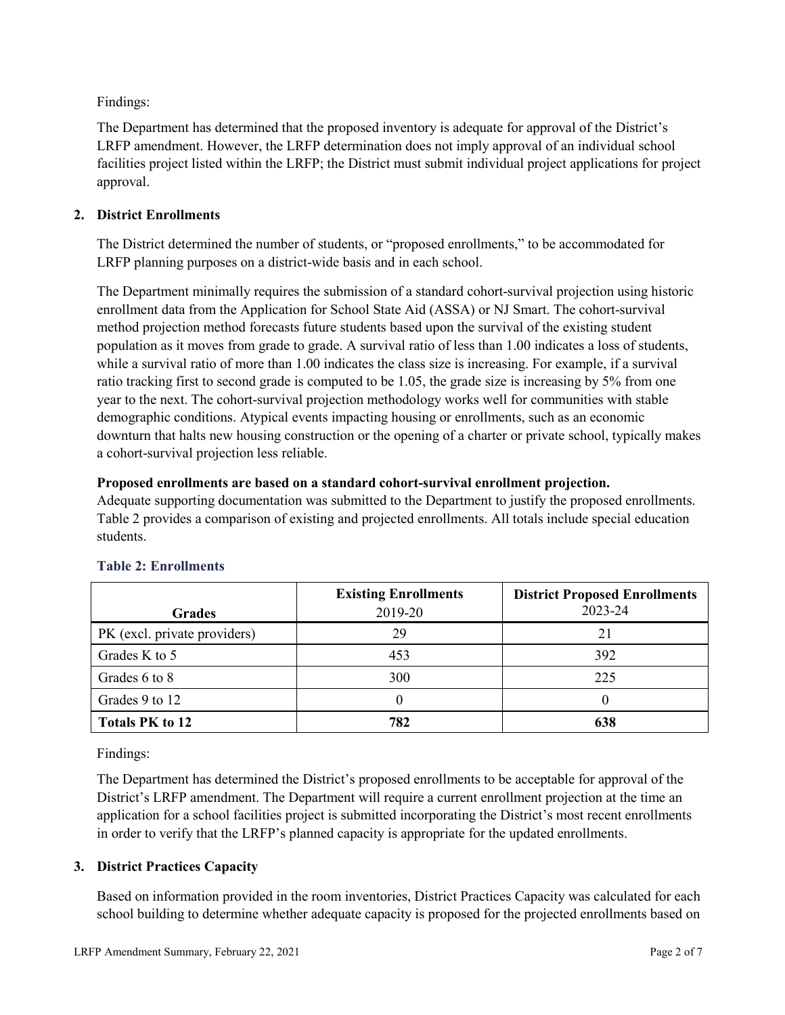Findings:

The Department has determined that the proposed inventory is adequate for approval of the District's LRFP amendment. However, the LRFP determination does not imply approval of an individual school facilities project listed within the LRFP; the District must submit individual project applications for project approval.

## **2. District Enrollments**

The District determined the number of students, or "proposed enrollments," to be accommodated for LRFP planning purposes on a district-wide basis and in each school.

The Department minimally requires the submission of a standard cohort-survival projection using historic enrollment data from the Application for School State Aid (ASSA) or NJ Smart. The cohort-survival method projection method forecasts future students based upon the survival of the existing student population as it moves from grade to grade. A survival ratio of less than 1.00 indicates a loss of students, while a survival ratio of more than 1.00 indicates the class size is increasing. For example, if a survival ratio tracking first to second grade is computed to be 1.05, the grade size is increasing by 5% from one year to the next. The cohort-survival projection methodology works well for communities with stable demographic conditions. Atypical events impacting housing or enrollments, such as an economic downturn that halts new housing construction or the opening of a charter or private school, typically makes a cohort-survival projection less reliable.

### **Proposed enrollments are based on a standard cohort-survival enrollment projection.**

Adequate supporting documentation was submitted to the Department to justify the proposed enrollments. Table 2 provides a comparison of existing and projected enrollments. All totals include special education students.

|                              | <b>Existing Enrollments</b> | <b>District Proposed Enrollments</b> |
|------------------------------|-----------------------------|--------------------------------------|
| <b>Grades</b>                | 2019-20                     | 2023-24                              |
| PK (excl. private providers) | 29                          | 21                                   |
| Grades K to 5                | 453                         | 392                                  |
| Grades 6 to 8                | 300                         | 225                                  |
| Grades 9 to 12               |                             |                                      |
| <b>Totals PK to 12</b>       | 782                         | 638                                  |

# **Table 2: Enrollments**

Findings:

The Department has determined the District's proposed enrollments to be acceptable for approval of the District's LRFP amendment. The Department will require a current enrollment projection at the time an application for a school facilities project is submitted incorporating the District's most recent enrollments in order to verify that the LRFP's planned capacity is appropriate for the updated enrollments.

### **3. District Practices Capacity**

Based on information provided in the room inventories, District Practices Capacity was calculated for each school building to determine whether adequate capacity is proposed for the projected enrollments based on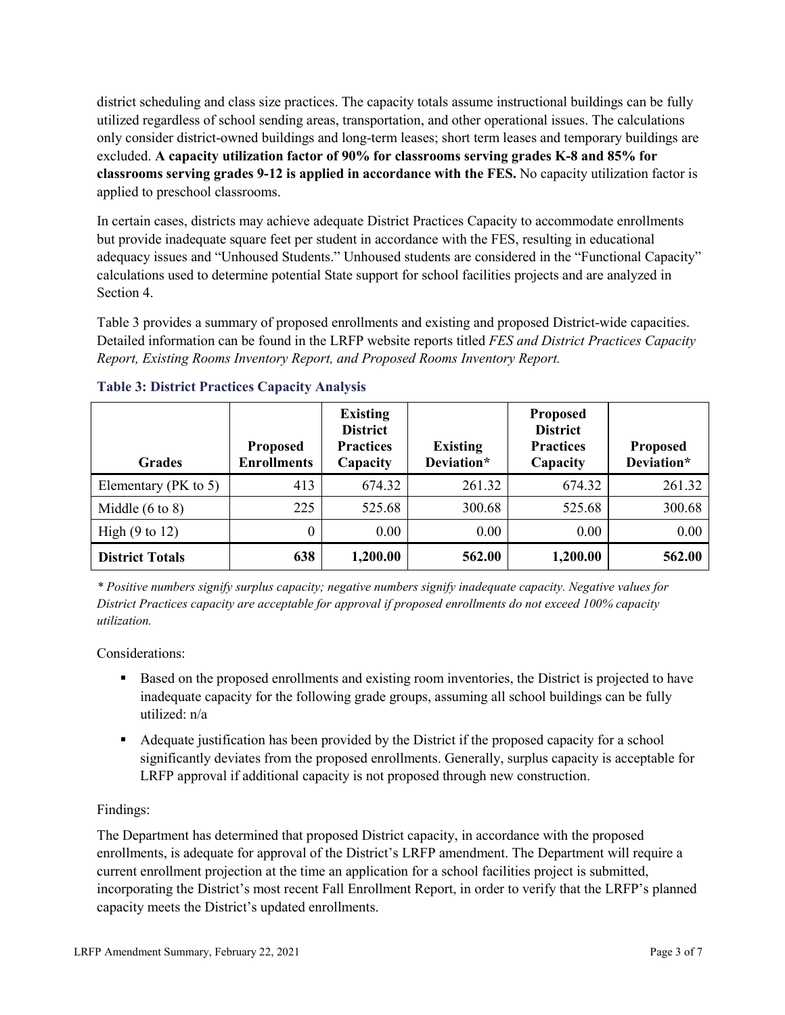district scheduling and class size practices. The capacity totals assume instructional buildings can be fully utilized regardless of school sending areas, transportation, and other operational issues. The calculations only consider district-owned buildings and long-term leases; short term leases and temporary buildings are excluded. **A capacity utilization factor of 90% for classrooms serving grades K-8 and 85% for classrooms serving grades 9-12 is applied in accordance with the FES.** No capacity utilization factor is applied to preschool classrooms.

In certain cases, districts may achieve adequate District Practices Capacity to accommodate enrollments but provide inadequate square feet per student in accordance with the FES, resulting in educational adequacy issues and "Unhoused Students." Unhoused students are considered in the "Functional Capacity" calculations used to determine potential State support for school facilities projects and are analyzed in Section 4.

Table 3 provides a summary of proposed enrollments and existing and proposed District-wide capacities. Detailed information can be found in the LRFP website reports titled *FES and District Practices Capacity Report, Existing Rooms Inventory Report, and Proposed Rooms Inventory Report.*

| <b>Grades</b>              | <b>Proposed</b><br><b>Enrollments</b> | <b>Existing</b><br><b>District</b><br><b>Practices</b><br>Capacity | <b>Existing</b><br>Deviation* | <b>Proposed</b><br><b>District</b><br><b>Practices</b><br>Capacity | <b>Proposed</b><br>Deviation* |
|----------------------------|---------------------------------------|--------------------------------------------------------------------|-------------------------------|--------------------------------------------------------------------|-------------------------------|
| Elementary ( $PK$ to 5)    | 413                                   | 674.32                                                             | 261.32                        | 674.32                                                             | 261.32                        |
| Middle $(6 \text{ to } 8)$ | 225                                   | 525.68                                                             | 300.68                        | 525.68                                                             | 300.68                        |
| High $(9 \text{ to } 12)$  | 0                                     | 0.00                                                               | 0.00                          | 0.00                                                               | 0.00                          |
| <b>District Totals</b>     | 638                                   | 1,200.00                                                           | 562.00                        | 1,200.00                                                           | 562.00                        |

### **Table 3: District Practices Capacity Analysis**

*\* Positive numbers signify surplus capacity; negative numbers signify inadequate capacity. Negative values for District Practices capacity are acceptable for approval if proposed enrollments do not exceed 100% capacity utilization.*

Considerations:

- Based on the proposed enrollments and existing room inventories, the District is projected to have inadequate capacity for the following grade groups, assuming all school buildings can be fully utilized: n/a
- Adequate justification has been provided by the District if the proposed capacity for a school significantly deviates from the proposed enrollments. Generally, surplus capacity is acceptable for LRFP approval if additional capacity is not proposed through new construction.

### Findings:

The Department has determined that proposed District capacity, in accordance with the proposed enrollments, is adequate for approval of the District's LRFP amendment. The Department will require a current enrollment projection at the time an application for a school facilities project is submitted, incorporating the District's most recent Fall Enrollment Report, in order to verify that the LRFP's planned capacity meets the District's updated enrollments.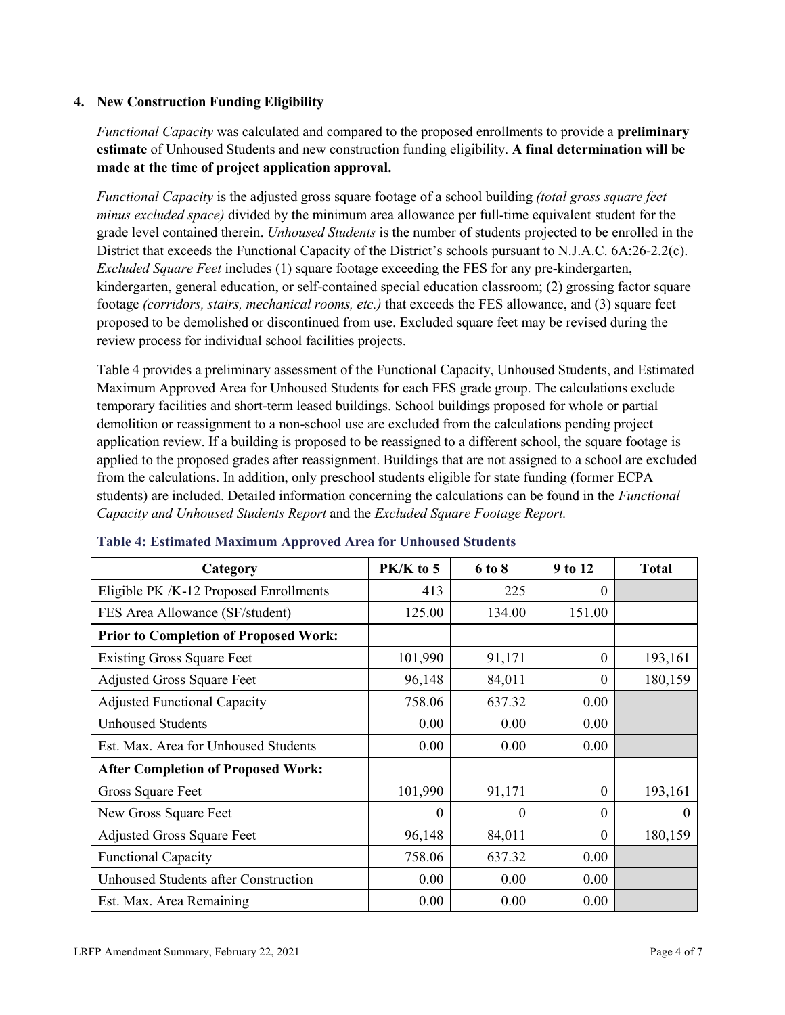### **4. New Construction Funding Eligibility**

*Functional Capacity* was calculated and compared to the proposed enrollments to provide a **preliminary estimate** of Unhoused Students and new construction funding eligibility. **A final determination will be made at the time of project application approval.**

*Functional Capacity* is the adjusted gross square footage of a school building *(total gross square feet minus excluded space)* divided by the minimum area allowance per full-time equivalent student for the grade level contained therein. *Unhoused Students* is the number of students projected to be enrolled in the District that exceeds the Functional Capacity of the District's schools pursuant to N.J.A.C. 6A:26-2.2(c). *Excluded Square Feet* includes (1) square footage exceeding the FES for any pre-kindergarten, kindergarten, general education, or self-contained special education classroom; (2) grossing factor square footage *(corridors, stairs, mechanical rooms, etc.)* that exceeds the FES allowance, and (3) square feet proposed to be demolished or discontinued from use. Excluded square feet may be revised during the review process for individual school facilities projects.

Table 4 provides a preliminary assessment of the Functional Capacity, Unhoused Students, and Estimated Maximum Approved Area for Unhoused Students for each FES grade group. The calculations exclude temporary facilities and short-term leased buildings. School buildings proposed for whole or partial demolition or reassignment to a non-school use are excluded from the calculations pending project application review. If a building is proposed to be reassigned to a different school, the square footage is applied to the proposed grades after reassignment. Buildings that are not assigned to a school are excluded from the calculations. In addition, only preschool students eligible for state funding (former ECPA students) are included. Detailed information concerning the calculations can be found in the *Functional Capacity and Unhoused Students Report* and the *Excluded Square Footage Report.*

| Category                                     | PK/K to 5 | 6 to 8 | 9 to 12      | <b>Total</b> |
|----------------------------------------------|-----------|--------|--------------|--------------|
| Eligible PK /K-12 Proposed Enrollments       | 413       | 225    | 0            |              |
| FES Area Allowance (SF/student)              | 125.00    | 134.00 | 151.00       |              |
| <b>Prior to Completion of Proposed Work:</b> |           |        |              |              |
| <b>Existing Gross Square Feet</b>            | 101,990   | 91,171 | $\theta$     | 193,161      |
| <b>Adjusted Gross Square Feet</b>            | 96,148    | 84,011 | $\theta$     | 180,159      |
| <b>Adjusted Functional Capacity</b>          | 758.06    | 637.32 | 0.00         |              |
| <b>Unhoused Students</b>                     | 0.00      | 0.00   | 0.00         |              |
| Est. Max. Area for Unhoused Students         | 0.00      | 0.00   | 0.00         |              |
| <b>After Completion of Proposed Work:</b>    |           |        |              |              |
| Gross Square Feet                            | 101,990   | 91,171 | $\theta$     | 193,161      |
| New Gross Square Feet                        | $\theta$  | 0      | $\theta$     | $\Omega$     |
| <b>Adjusted Gross Square Feet</b>            | 96,148    | 84,011 | $\mathbf{0}$ | 180,159      |
| <b>Functional Capacity</b>                   | 758.06    | 637.32 | 0.00         |              |
| Unhoused Students after Construction         | 0.00      | 0.00   | 0.00         |              |
| Est. Max. Area Remaining                     | 0.00      | 0.00   | 0.00         |              |

#### **Table 4: Estimated Maximum Approved Area for Unhoused Students**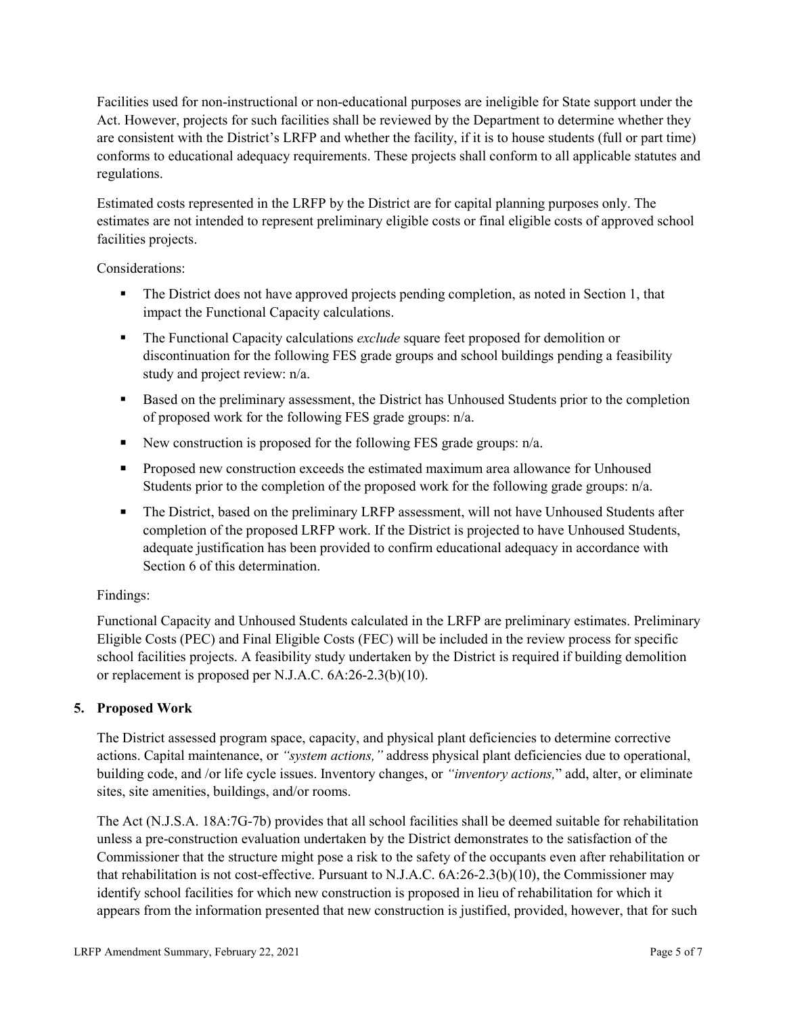Facilities used for non-instructional or non-educational purposes are ineligible for State support under the Act. However, projects for such facilities shall be reviewed by the Department to determine whether they are consistent with the District's LRFP and whether the facility, if it is to house students (full or part time) conforms to educational adequacy requirements. These projects shall conform to all applicable statutes and regulations.

Estimated costs represented in the LRFP by the District are for capital planning purposes only. The estimates are not intended to represent preliminary eligible costs or final eligible costs of approved school facilities projects.

Considerations:

- The District does not have approved projects pending completion, as noted in Section 1, that impact the Functional Capacity calculations.
- **The Functional Capacity calculations** *exclude* square feet proposed for demolition or discontinuation for the following FES grade groups and school buildings pending a feasibility study and project review: n/a.
- Based on the preliminary assessment, the District has Unhoused Students prior to the completion of proposed work for the following FES grade groups: n/a.
- New construction is proposed for the following FES grade groups: n/a.
- Proposed new construction exceeds the estimated maximum area allowance for Unhoused Students prior to the completion of the proposed work for the following grade groups: n/a.
- The District, based on the preliminary LRFP assessment, will not have Unhoused Students after completion of the proposed LRFP work. If the District is projected to have Unhoused Students, adequate justification has been provided to confirm educational adequacy in accordance with Section 6 of this determination.

### Findings:

Functional Capacity and Unhoused Students calculated in the LRFP are preliminary estimates. Preliminary Eligible Costs (PEC) and Final Eligible Costs (FEC) will be included in the review process for specific school facilities projects. A feasibility study undertaken by the District is required if building demolition or replacement is proposed per N.J.A.C. 6A:26-2.3(b)(10).

# **5. Proposed Work**

The District assessed program space, capacity, and physical plant deficiencies to determine corrective actions. Capital maintenance, or *"system actions,"* address physical plant deficiencies due to operational, building code, and /or life cycle issues. Inventory changes, or *"inventory actions,*" add, alter, or eliminate sites, site amenities, buildings, and/or rooms.

The Act (N.J.S.A. 18A:7G-7b) provides that all school facilities shall be deemed suitable for rehabilitation unless a pre-construction evaluation undertaken by the District demonstrates to the satisfaction of the Commissioner that the structure might pose a risk to the safety of the occupants even after rehabilitation or that rehabilitation is not cost-effective. Pursuant to N.J.A.C. 6A:26-2.3(b)(10), the Commissioner may identify school facilities for which new construction is proposed in lieu of rehabilitation for which it appears from the information presented that new construction is justified, provided, however, that for such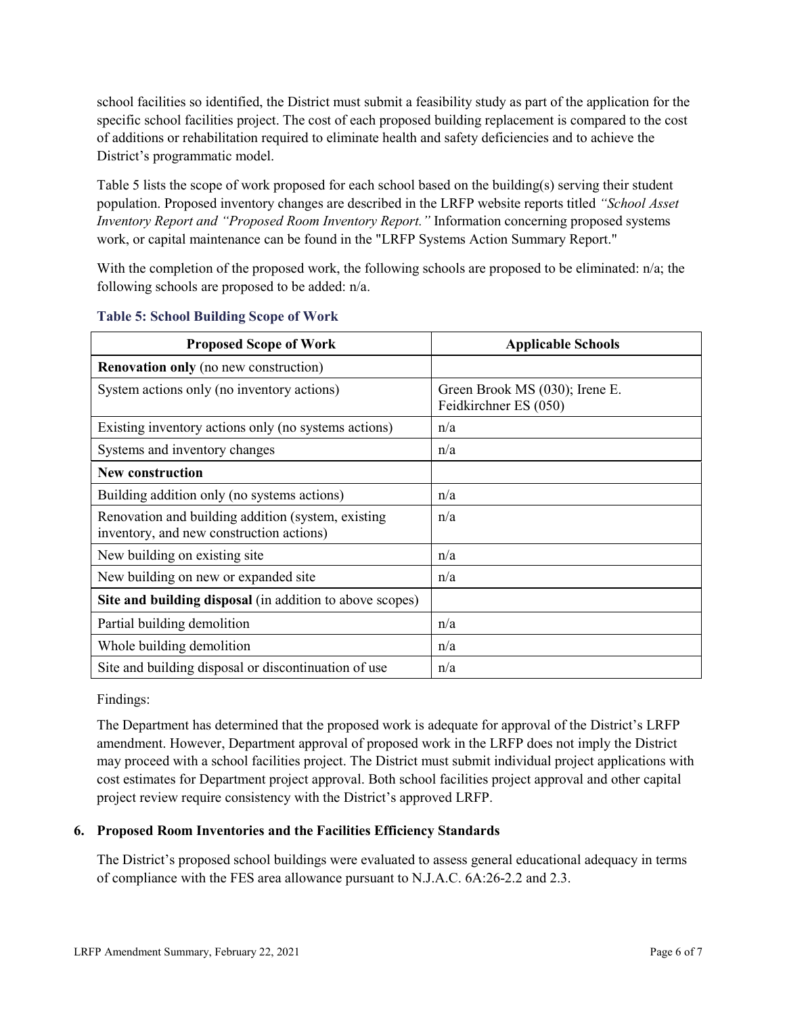school facilities so identified, the District must submit a feasibility study as part of the application for the specific school facilities project. The cost of each proposed building replacement is compared to the cost of additions or rehabilitation required to eliminate health and safety deficiencies and to achieve the District's programmatic model.

Table 5 lists the scope of work proposed for each school based on the building(s) serving their student population. Proposed inventory changes are described in the LRFP website reports titled *"School Asset Inventory Report and "Proposed Room Inventory Report."* Information concerning proposed systems work, or capital maintenance can be found in the "LRFP Systems Action Summary Report."

With the completion of the proposed work, the following schools are proposed to be eliminated:  $n/a$ ; the following schools are proposed to be added: n/a.

| <b>Proposed Scope of Work</b>                                                                  | <b>Applicable Schools</b>                               |
|------------------------------------------------------------------------------------------------|---------------------------------------------------------|
| <b>Renovation only</b> (no new construction)                                                   |                                                         |
| System actions only (no inventory actions)                                                     | Green Brook MS (030); Irene E.<br>Feidkirchner ES (050) |
| Existing inventory actions only (no systems actions)                                           | n/a                                                     |
| Systems and inventory changes                                                                  | n/a                                                     |
| <b>New construction</b>                                                                        |                                                         |
| Building addition only (no systems actions)                                                    | n/a                                                     |
| Renovation and building addition (system, existing<br>inventory, and new construction actions) | n/a                                                     |
| New building on existing site                                                                  | n/a                                                     |
| New building on new or expanded site                                                           | n/a                                                     |
| Site and building disposal (in addition to above scopes)                                       |                                                         |
| Partial building demolition                                                                    | n/a                                                     |
| Whole building demolition                                                                      | n/a                                                     |
| Site and building disposal or discontinuation of use                                           | n/a                                                     |

#### **Table 5: School Building Scope of Work**

Findings:

The Department has determined that the proposed work is adequate for approval of the District's LRFP amendment. However, Department approval of proposed work in the LRFP does not imply the District may proceed with a school facilities project. The District must submit individual project applications with cost estimates for Department project approval. Both school facilities project approval and other capital project review require consistency with the District's approved LRFP.

### **6. Proposed Room Inventories and the Facilities Efficiency Standards**

The District's proposed school buildings were evaluated to assess general educational adequacy in terms of compliance with the FES area allowance pursuant to N.J.A.C. 6A:26-2.2 and 2.3.